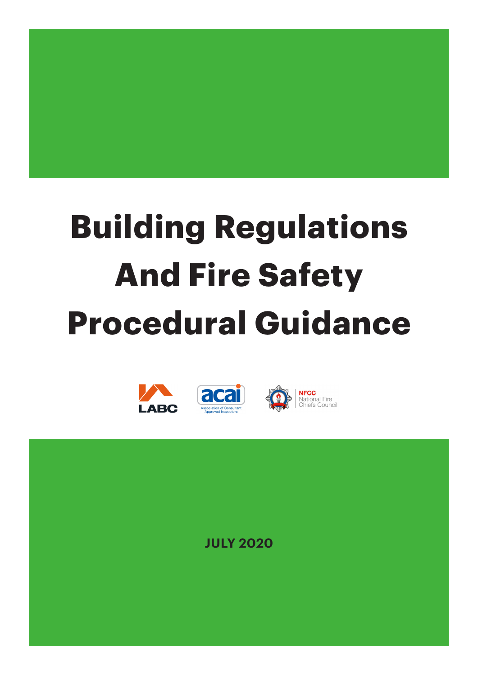

# **Building Regulations And Fire Safety Procedural Guidance**



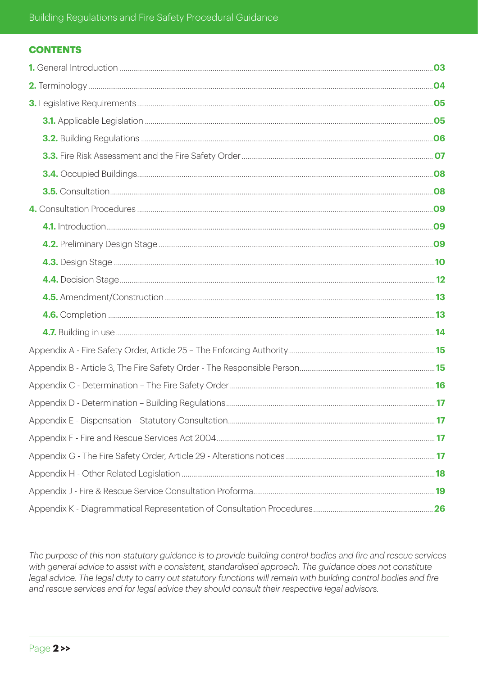# **CONTENTS**

The purpose of this non-statutory guidance is to provide building control bodies and fire and rescue services with general advice to assist with a consistent, standardised approach. The guidance does not constitute legal advice. The legal duty to carry out statutory functions will remain with building control bodies and fire and rescue services and for legal advice they should consult their respective legal advisors.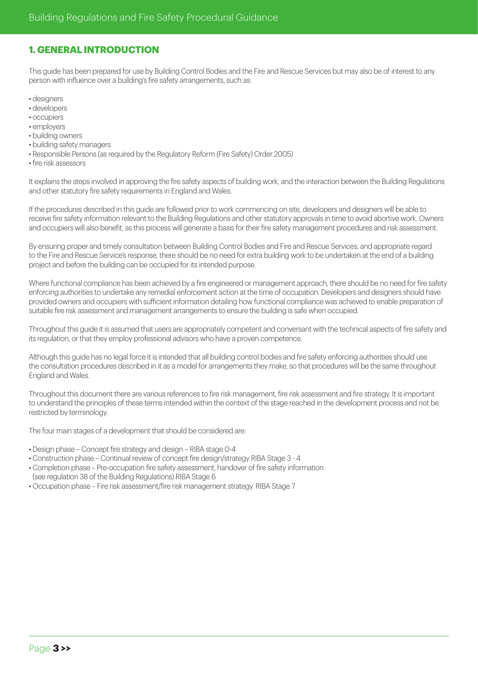# **1. GENERAL INTRODUCTION**

This guide has been prepared for use by Building Control Bodies and the Fire and Rescue Services but may also be of interest to any person with influence over a building's fire safety arrangements, such as:

- designers
- developers
- occupiers
- employers
- building owners • building safety managers
- Responsible Persons (as required by the Regulatory Reform (Fire Safety) Order 2005)
- fire risk assessors

It explains the steps involved in approving the fire safety aspects of building work, and the interaction between the Building Regulations and other statutory fire safety requirements in England and Wales.

If the procedures described in this guide are followed prior to work commencing on site, developers and designers will be able to receive fire safety information relevant to the Building Regulations and other statutory approvals in time to avoid abortive work. Owners and occupiers will also benefit, as this process will generate a basis for their fire safety management procedures and risk assessment.

By ensuring proper and timely consultation between Building Control Bodies and Fire and Rescue Services, and appropriate regard to the Fire and Rescue Service's response, there should be no need for extra building work to be undertaken at the end of a building project and before the building can be occupied for its intended purpose.

Where functional compliance has been achieved by a fire engineered or management approach, there should be no need for fire safety enforcing authorities to undertake any remedial enforcement action at the time of occupation. Developers and designers should have provided owners and occupiers with sufficient information detailing how functional compliance was achieved to enable preparation of suitable fire risk assessment and management arrangements to ensure the building is safe when occupied.

Throughout this guide it is assumed that users are appropriately competent and conversant with the technical aspects of fire safety and its regulation, or that they employ professional advisors who have a proven competence.

Although this guide has no legal force it is intended that all building control bodies and fire safety enforcing authorities should use the consultation procedures described in it as a model for arrangements they make, so that procedures will be the same throughout England and Wales.

Throughout this document there are various references to fire risk management, fire risk assessment and fire strategy. It is important to understand the principles of these terms intended within the context of the stage reached in the development process and not be restricted by terminology.

The four main stages of a development that should be considered are:

- Design phase Concept fire strategy and design RIBA stage 0-4
- Construction phase Continual review of concept fire design/strategy RIBA Stage 3 4
- Completion phase Pre-occupation fire safety assessment, handover of fire safety information (see regulation 38 of the Building Regulations) RIBA Stage 6
- Occupation phase Fire risk assessment/fire risk management strategy. RIBA Stage 7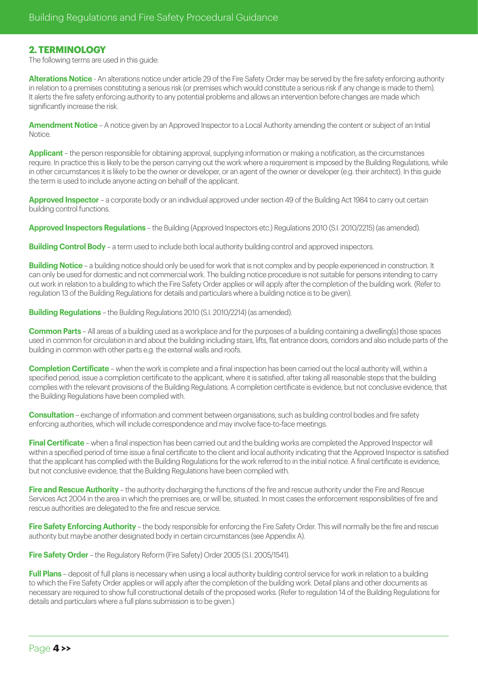# **2. TERMINOLOGY**

The following terms are used in this guide:

**Alterations Notice** - An alterations notice under article 29 of the Fire Safety Order may be served by the fire safety enforcing authority in relation to a premises constituting a serious risk (or premises which would constitute a serious risk if any change is made to them). It alerts the fire safety enforcing authority to any potential problems and allows an intervention before changes are made which significantly increase the risk.

**Amendment Notice** – A notice given by an Approved Inspector to a Local Authority amending the content or subject of an Initial **Notice** 

**Applicant** – the person responsible for obtaining approval, supplying information or making a notification, as the circumstances require. In practice this is likely to be the person carrying out the work where a requirement is imposed by the Building Regulations, while in other circumstances it is likely to be the owner or developer, or an agent of the owner or developer (e.g. their architect). In this guide the term is used to include anyone acting on behalf of the applicant.

**Approved Inspector** – a corporate body or an individual approved under section 49 of the Building Act 1984 to carry out certain building control functions.

**Approved Inspectors Regulations** – the Building (Approved Inspectors etc.) Regulations 2010 (S.I. 2010/2215) (as amended).

**Building Control Body** – a term used to include both local authority building control and approved inspectors.

**Building Notice** – a building notice should only be used for work that is not complex and by people experienced in construction. It can only be used for domestic and not commercial work. The building notice procedure is not suitable for persons intending to carry out work in relation to a building to which the Fire Safety Order applies or will apply after the completion of the building work. (Refer to regulation 13 of the Building Regulations for details and particulars where a building notice is to be given).

**Building Regulations** – the Building Regulations 2010 (S.I. 2010/2214) (as amended).

**Common Parts** – All areas of a building used as a workplace and for the purposes of a building containing a dwelling(s) those spaces used in common for circulation in and about the building including stairs, lifts, flat entrance doors, corridors and also include parts of the building in common with other parts e.g. the external walls and roofs.

**Completion Certificate** – when the work is complete and a final inspection has been carried out the local authority will, within a specified period, issue a completion certificate to the applicant, where it is satisfied, after taking all reasonable steps that the building complies with the relevant provisions of the Building Regulations. A completion certificate is evidence, but not conclusive evidence, that the Building Regulations have been complied with.

**Consultation** – exchange of information and comment between organisations, such as building control bodies and fire safety enforcing authorities, which will include correspondence and may involve face-to-face meetings.

**Final Certificate** – when a final inspection has been carried out and the building works are completed the Approved Inspector will within a specified period of time issue a final certificate to the client and local authority indicating that the Approved Inspector is satisfied that the applicant has complied with the Building Regulations for the work referred to in the initial notice. A final certificate is evidence, but not conclusive evidence, that the Building Regulations have been complied with.

**Fire and Rescue Authority** – the authority discharging the functions of the fire and rescue authority under the Fire and Rescue Services Act 2004 in the area in which the premises are, or will be, situated. In most cases the enforcement responsibilities of fire and rescue authorities are delegated to the fire and rescue service.

**Fire Safety Enforcing Authority** – the body responsible for enforcing the Fire Safety Order. This will normally be the fire and rescue authority but maybe another designated body in certain circumstances (see Appendix A).

**Fire Safety Order** – the Regulatory Reform (Fire Safety) Order 2005 (S.I. 2005/1541).

**Full Plans** – deposit of full plans is necessary when using a local authority building control service for work in relation to a building to which the Fire Safety Order applies or will apply after the completion of the building work. Detail plans and other documents as necessary are required to show full constructional details of the proposed works. (Refer to regulation 14 of the Building Regulations for details and particulars where a full plans submission is to be given.)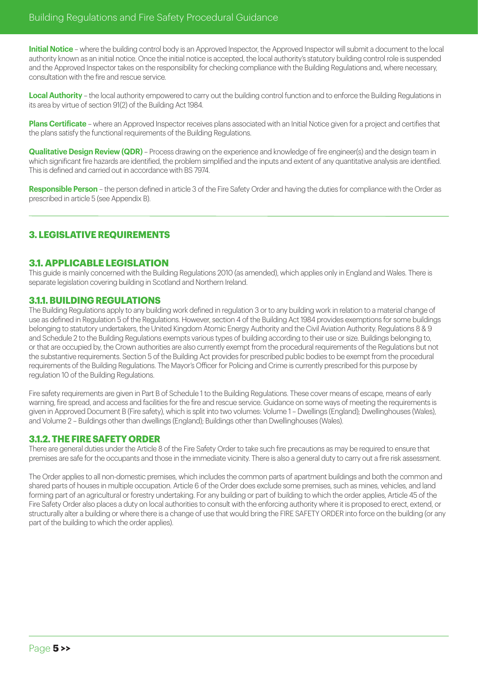**Initial Notice** – where the building control body is an Approved Inspector, the Approved Inspector will submit a document to the local authority known as an initial notice. Once the initial notice is accepted, the local authority's statutory building control role is suspended and the Approved Inspector takes on the responsibility for checking compliance with the Building Regulations and, where necessary consultation with the fire and rescue service.

**Local Authority** – the local authority empowered to carry out the building control function and to enforce the Building Regulations in its area by virtue of section 91(2) of the Building Act 1984.

**Plans Certificate** – where an Approved Inspector receives plans associated with an Initial Notice given for a project and certifies that the plans satisfy the functional requirements of the Building Regulations.

**Qualitative Design Review (QDR)** – Process drawing on the experience and knowledge of fire engineer(s) and the design team in which significant fire hazards are identified, the problem simplified and the inputs and extent of any quantitative analysis are identified. This is defined and carried out in accordance with BS 7974.

**Responsible Person** – the person defined in article 3 of the Fire Safety Order and having the duties for compliance with the Order as prescribed in article 5 (see Appendix B).

# **3. LEGISLATIVE REQUIREMENTS**

# **3.1. APPLICABLE LEGISLATION**

This guide is mainly concerned with the Building Regulations 2010 (as amended), which applies only in England and Wales. There is separate legislation covering building in Scotland and Northern Ireland.

# **3.1.1. BUILDING REGULATIONS**

The Building Regulations apply to any building work defined in regulation 3 or to any building work in relation to a material change of use as defined in Regulation 5 of the Regulations. However, section 4 of the Building Act 1984 provides exemptions for some buildings belonging to statutory undertakers, the United Kingdom Atomic Energy Authority and the Civil Aviation Authority. Regulations 8 & 9 and Schedule 2 to the Building Regulations exempts various types of building according to their use or size. Buildings belonging to, or that are occupied by, the Crown authorities are also currently exempt from the procedural requirements of the Regulations but not the substantive requirements. Section 5 of the Building Act provides for prescribed public bodies to be exempt from the procedural requirements of the Building Regulations. The Mayor's Officer for Policing and Crime is currently prescribed for this purpose by regulation 10 of the Building Regulations.

Fire safety requirements are given in Part B of Schedule 1 to the Building Regulations. These cover means of escape, means of early warning, fire spread, and access and facilities for the fire and rescue service. Guidance on some ways of meeting the requirements is given in Approved Document B (Fire safety), which is split into two volumes: Volume 1 – Dwellings (England); Dwellinghouses (Wales), and Volume 2 – Buildings other than dwellings (England); Buildings other than Dwellinghouses (Wales).

# **3.1.2. THE FIRE SAFETY ORDER**

There are general duties under the Article 8 of the Fire Safety Order to take such fire precautions as may be required to ensure that premises are safe for the occupants and those in the immediate vicinity. There is also a general duty to carry out a fire risk assessment.

The Order applies to all non-domestic premises, which includes the common parts of apartment buildings and both the common and shared parts of houses in multiple occupation. Article 6 of the Order does exclude some premises, such as mines, vehicles, and land forming part of an agricultural or forestry undertaking. For any building or part of building to which the order applies, Article 45 of the Fire Safety Order also places a duty on local authorities to consult with the enforcing authority where it is proposed to erect, extend, or structurally alter a building or where there is a change of use that would bring the FIRE SAFETY ORDER into force on the building (or any part of the building to which the order applies).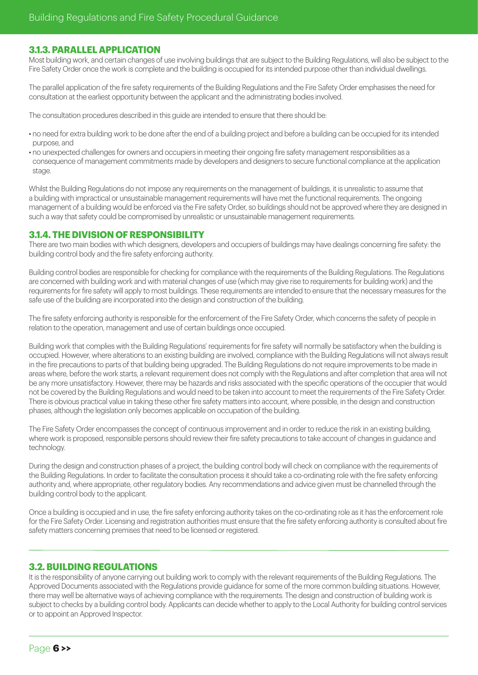# **3.1.3. PARALLEL APPLICATION**

Most building work, and certain changes of use involving buildings that are subject to the Building Regulations, will also be subject to the Fire Safety Order once the work is complete and the building is occupied for its intended purpose other than individual dwellings.

The parallel application of the fire safety requirements of the Building Regulations and the Fire Safety Order emphasises the need for consultation at the earliest opportunity between the applicant and the administrating bodies involved.

The consultation procedures described in this guide are intended to ensure that there should be:

- no need for extra building work to be done after the end of a building project and before a building can be occupied for its intended purpose, and
- no unexpected challenges for owners and occupiers in meeting their ongoing fire safety management responsibilities as a consequence of management commitments made by developers and designers to secure functional compliance at the application stage.

Whilst the Building Regulations do not impose any requirements on the management of buildings, it is unrealistic to assume that a building with impractical or unsustainable management requirements will have met the functional requirements. The ongoing management of a building would be enforced via the Fire safety Order, so buildings should not be approved where they are designed in such a way that safety could be compromised by unrealistic or unsustainable management requirements.

# **3.1.4. THE DIVISION OF RESPONSIBILITY**

There are two main bodies with which designers, developers and occupiers of buildings may have dealings concerning fire safety: the building control body and the fire safety enforcing authority.

Building control bodies are responsible for checking for compliance with the requirements of the Building Regulations. The Regulations are concerned with building work and with material changes of use (which may give rise to requirements for building work) and the requirements for fire safety will apply to most buildings. These requirements are intended to ensure that the necessary measures for the safe use of the building are incorporated into the design and construction of the building.

The fire safety enforcing authority is responsible for the enforcement of the Fire Safety Order, which concerns the safety of people in relation to the operation, management and use of certain buildings once occupied.

Building work that complies with the Building Regulations' requirements for fire safety will normally be satisfactory when the building is occupied. However, where alterations to an existing building are involved, compliance with the Building Regulations will not always result in the fire precautions to parts of that building being upgraded. The Building Regulations do not require improvements to be made in areas where, before the work starts, a relevant requirement does not comply with the Regulations and after completion that area will not be any more unsatisfactory. However, there may be hazards and risks associated with the specific operations of the occupier that would not be covered by the Building Regulations and would need to be taken into account to meet the requirements of the Fire Safety Order. There is obvious practical value in taking these other fire safety matters into account, where possible, in the design and construction phases, although the legislation only becomes applicable on occupation of the building.

The Fire Safety Order encompasses the concept of continuous improvement and in order to reduce the risk in an existing building, where work is proposed, responsible persons should review their fire safety precautions to take account of changes in guidance and technology.

During the design and construction phases of a project, the building control body will check on compliance with the requirements of the Building Regulations. In order to facilitate the consultation process it should take a co-ordinating role with the fire safety enforcing authority and, where appropriate, other regulatory bodies. Any recommendations and advice given must be channelled through the building control body to the applicant.

Once a building is occupied and in use, the fire safety enforcing authority takes on the co-ordinating role as it has the enforcement role for the Fire Safety Order. Licensing and registration authorities must ensure that the fire safety enforcing authority is consulted about fire safety matters concerning premises that need to be licensed or registered.

# **3.2. BUILDING REGULATIONS**

It is the responsibility of anyone carrying out building work to comply with the relevant requirements of the Building Regulations. The Approved Documents associated with the Regulations provide guidance for some of the more common building situations. However, there may well be alternative ways of achieving compliance with the requirements. The design and construction of building work is subject to checks by a building control body. Applicants can decide whether to apply to the Local Authority for building control services or to appoint an Approved Inspector.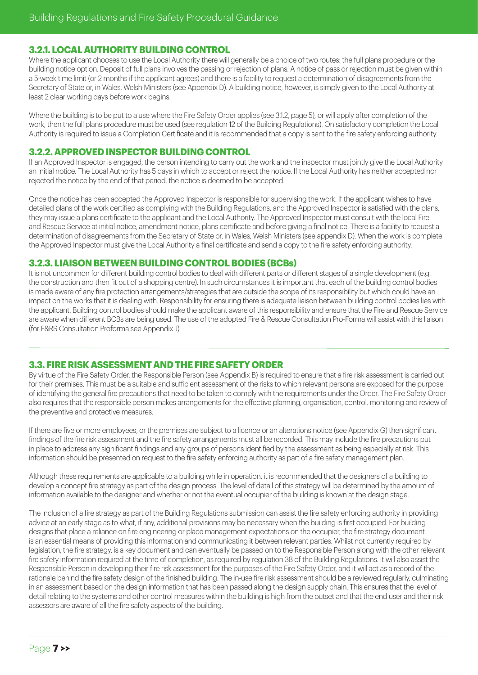# **3.2.1. LOCAL AUTHORITY BUILDING CONTROL**

Where the applicant chooses to use the Local Authority there will generally be a choice of two routes: the full plans procedure or the building notice option. Deposit of full plans involves the passing or rejection of plans. A notice of pass or rejection must be given within a 5-week time limit (or 2 months if the applicant agrees) and there is a facility to request a determination of disagreements from the Secretary of State or, in Wales, Welsh Ministers (see Appendix D). A building notice, however, is simply given to the Local Authority at least 2 clear working days before work begins.

Where the building is to be put to a use where the Fire Safety Order applies (see 3.1.2, page 5), or will apply after completion of the work, then the full plans procedure must be used (see regulation 12 of the Building Regulations). On satisfactory completion the Local Authority is required to issue a Completion Certificate and it is recommended that a copy is sent to the fire safety enforcing authority.

# **3.2.2. APPROVED INSPECTOR BUILDING CONTROL**

If an Approved Inspector is engaged, the person intending to carry out the work and the inspector must jointly give the Local Authority an initial notice. The Local Authority has 5 days in which to accept or reject the notice. If the Local Authority has neither accepted nor rejected the notice by the end of that period, the notice is deemed to be accepted.

Once the notice has been accepted the Approved Inspector is responsible for supervising the work. If the applicant wishes to have detailed plans of the work certified as complying with the Building Regulations, and the Approved Inspector is satisfied with the plans, they may issue a plans certificate to the applicant and the Local Authority. The Approved Inspector must consult with the local Fire and Rescue Service at initial notice, amendment notice, plans certificate and before giving a final notice. There is a facility to request a determination of disagreements from the Secretary of State or, in Wales, Welsh Ministers (see appendix D). When the work is complete the Approved Inspector must give the Local Authority a final certificate and send a copy to the fire safety enforcing authority.

# **3.2.3. LIAISON BETWEEN BUILDING CONTROL BODIES (BCBs)**

It is not uncommon for different building control bodies to deal with different parts or different stages of a single development (e.g. the construction and then fit out of a shopping centre). In such circumstances it is important that each of the building control bodies is made aware of any fire protection arrangements/strategies that are outside the scope of its responsibility but which could have an impact on the works that it is dealing with. Responsibility for ensuring there is adequate liaison between building control bodies lies with the applicant. Building control bodies should make the applicant aware of this responsibility and ensure that the Fire and Rescue Service are aware when different BCBs are being used. The use of the adopted Fire & Rescue Consultation Pro-Forma will assist with this liaison (for F&RS Consultation Proforma see Appendix J)

# **3.3. FIRE RISK ASSESSMENT AND THE FIRE SAFETY ORDER**

By virtue of the Fire Safety Order, the Responsible Person (see Appendix B) is required to ensure that a fire risk assessment is carried out for their premises. This must be a suitable and sufficient assessment of the risks to which relevant persons are exposed for the purpose of identifying the general fire precautions that need to be taken to comply with the requirements under the Order. The Fire Safety Order also requires that the responsible person makes arrangements for the effective planning, organisation, control, monitoring and review of the preventive and protective measures.

If there are five or more employees, or the premises are subject to a licence or an alterations notice (see Appendix G) then significant findings of the fire risk assessment and the fire safety arrangements must all be recorded. This may include the fire precautions put in place to address any significant findings and any groups of persons identified by the assessment as being especially at risk. This information should be presented on request to the fire safety enforcing authority as part of a fire safety management plan.

Although these requirements are applicable to a building while in operation, it is recommended that the designers of a building to develop a concept fire strategy as part of the design process. The level of detail of this strategy will be determined by the amount of information available to the designer and whether or not the eventual occupier of the building is known at the design stage.

The inclusion of a fire strategy as part of the Building Regulations submission can assist the fire safety enforcing authority in providing advice at an early stage as to what, if any, additional provisions may be necessary when the building is first occupied. For building designs that place a reliance on fire engineering or place management expectations on the occupier, the fire strategy document is an essential means of providing this information and communicating it between relevant parties. Whilst not currently required by legislation, the fire strategy, is a key document and can eventually be passed on to the Responsible Person along with the other relevant fire safety information required at the time of completion, as required by regulation 38 of the Building Regulations. It will also assist the Responsible Person in developing their fire risk assessment for the purposes of the Fire Safety Order, and it will act as a record of the rationale behind the fire safety design of the finished building. The in-use fire risk assessment should be a reviewed regularly, culminating in an assessment based on the design information that has been passed along the design supply chain. This ensures that the level of detail relating to the systems and other control measures within the building is high from the outset and that the end user and their risk assessors are aware of all the fire safety aspects of the building.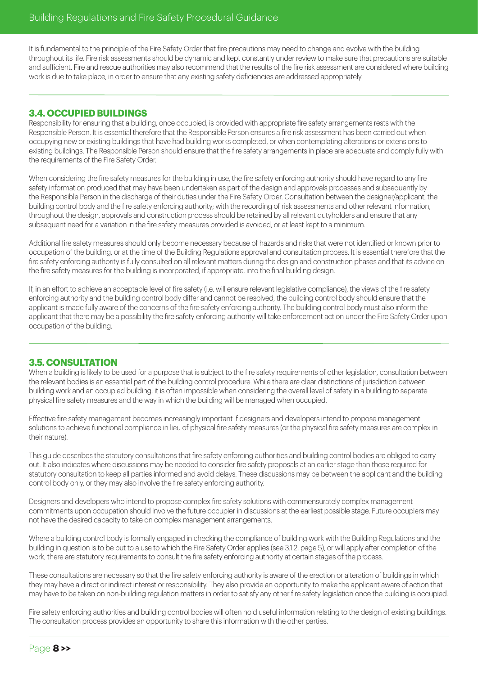It is fundamental to the principle of the Fire Safety Order that fire precautions may need to change and evolve with the building throughout its life. Fire risk assessments should be dynamic and kept constantly under review to make sure that precautions are suitable and sufficient. Fire and rescue authorities may also recommend that the results of the fire risk assessment are considered where building work is due to take place, in order to ensure that any existing safety deficiencies are addressed appropriately.

# **3.4. OCCUPIED BUILDINGS**

Responsibility for ensuring that a building, once occupied, is provided with appropriate fire safety arrangements rests with the Responsible Person. It is essential therefore that the Responsible Person ensures a fire risk assessment has been carried out when occupying new or existing buildings that have had building works completed, or when contemplating alterations or extensions to existing buildings. The Responsible Person should ensure that the fire safety arrangements in place are adequate and comply fully with the requirements of the Fire Safety Order.

When considering the fire safety measures for the building in use, the fire safety enforcing authority should have regard to any fire safety information produced that may have been undertaken as part of the design and approvals processes and subsequently by the Responsible Person in the discharge of their duties under the Fire Safety Order. Consultation between the designer/applicant, the building control body and the fire safety enforcing authority; with the recording of risk assessments and other relevant information, throughout the design, approvals and construction process should be retained by all relevant dutyholders and ensure that any subsequent need for a variation in the fire safety measures provided is avoided, or at least kept to a minimum.

Additional fire safety measures should only become necessary because of hazards and risks that were not identified or known prior to occupation of the building, or at the time of the Building Regulations approval and consultation process. It is essential therefore that the fire safety enforcing authority is fully consulted on all relevant matters during the design and construction phases and that its advice on the fire safety measures for the building is incorporated, if appropriate, into the final building design.

If, in an effort to achieve an acceptable level of fire safety (i.e. will ensure relevant legislative compliance), the views of the fire safety enforcing authority and the building control body differ and cannot be resolved, the building control body should ensure that the applicant is made fully aware of the concerns of the fire safety enforcing authority. The building control body must also inform the applicant that there may be a possibility the fire safety enforcing authority will take enforcement action under the Fire Safety Order upon occupation of the building.

# **3.5. CONSULTATION**

When a building is likely to be used for a purpose that is subject to the fire safety requirements of other legislation, consultation between the relevant bodies is an essential part of the building control procedure. While there are clear distinctions of jurisdiction between building work and an occupied building, it is often impossible when considering the overall level of safety in a building to separate physical fire safety measures and the way in which the building will be managed when occupied.

Effective fire safety management becomes increasingly important if designers and developers intend to propose management solutions to achieve functional compliance in lieu of physical fire safety measures (or the physical fire safety measures are complex in their nature).

This guide describes the statutory consultations that fire safety enforcing authorities and building control bodies are obliged to carry out. It also indicates where discussions may be needed to consider fire safety proposals at an earlier stage than those required for statutory consultation to keep all parties informed and avoid delays. These discussions may be between the applicant and the building control body only, or they may also involve the fire safety enforcing authority.

Designers and developers who intend to propose complex fire safety solutions with commensurately complex management commitments upon occupation should involve the future occupier in discussions at the earliest possible stage. Future occupiers may not have the desired capacity to take on complex management arrangements.

Where a building control body is formally engaged in checking the compliance of building work with the Building Regulations and the building in question is to be put to a use to which the Fire Safety Order applies (see 3.1.2, page 5), or will apply after completion of the work, there are statutory requirements to consult the fire safety enforcing authority at certain stages of the process.

These consultations are necessary so that the fire safety enforcing authority is aware of the erection or alteration of buildings in which they may have a direct or indirect interest or responsibility. They also provide an opportunity to make the applicant aware of action that may have to be taken on non-building regulation matters in order to satisfy any other fire safety legislation once the building is occupied.

Fire safety enforcing authorities and building control bodies will often hold useful information relating to the design of existing buildings. The consultation process provides an opportunity to share this information with the other parties.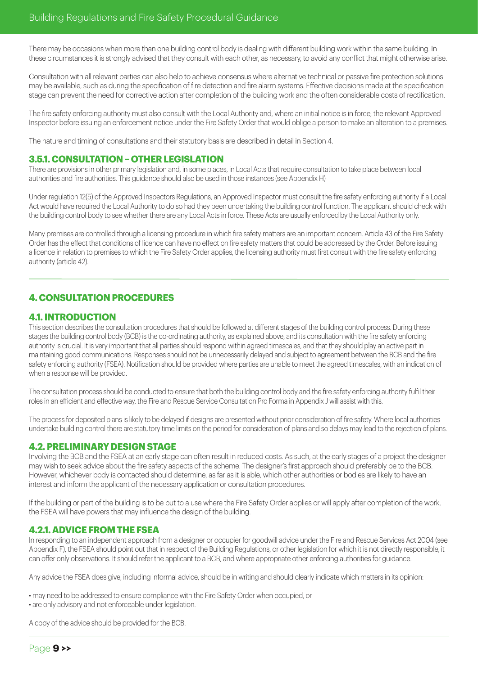There may be occasions when more than one building control body is dealing with different building work within the same building. In these circumstances it is strongly advised that they consult with each other, as necessary, to avoid any conflict that might otherwise arise.

Consultation with all relevant parties can also help to achieve consensus where alternative technical or passive fire protection solutions may be available, such as during the specification of fire detection and fire alarm systems. Effective decisions made at the specification stage can prevent the need for corrective action after completion of the building work and the often considerable costs of rectification.

The fire safety enforcing authority must also consult with the Local Authority and, where an initial notice is in force, the relevant Approved Inspector before issuing an enforcement notice under the Fire Safety Order that would oblige a person to make an alteration to a premises.

The nature and timing of consultations and their statutory basis are described in detail in Section 4.

# **3.5.1. CONSULTATION – OTHER LEGISLATION**

There are provisions in other primary legislation and, in some places, in Local Acts that require consultation to take place between local authorities and fire authorities. This guidance should also be used in those instances (see Appendix H)

Under regulation 12(5) of the Approved Inspectors Regulations, an Approved Inspector must consult the fire safety enforcing authority if a Local Act would have required the Local Authority to do so had they been undertaking the building control function. The applicant should check with the building control body to see whether there are any Local Acts in force. These Acts are usually enforced by the Local Authority only.

Many premises are controlled through a licensing procedure in which fire safety matters are an important concern. Article 43 of the Fire Safety Order has the effect that conditions of licence can have no effect on fire safety matters that could be addressed by the Order. Before issuing a licence in relation to premises to which the Fire Safety Order applies, the licensing authority must first consult with the fire safety enforcing authority (article 42).

# **4. CONSULTATION PROCEDURES**

# **4.1. INTRODUCTION**

This section describes the consultation procedures that should be followed at different stages of the building control process. During these stages the building control body (BCB) is the co-ordinating authority, as explained above, and its consultation with the fire safety enforcing authority is crucial. It is very important that all parties should respond within agreed timescales, and that they should play an active part in maintaining good communications. Responses should not be unnecessarily delayed and subject to agreement between the BCB and the fire safety enforcing authority (FSEA). Notification should be provided where parties are unable to meet the agreed timescales, with an indication of when a response will be provided.

The consultation process should be conducted to ensure that both the building control body and the fire safety enforcing authority fulfil their roles in an efficient and effective way, the Fire and Rescue Service Consultation Pro Forma in Appendix J will assist with this.

The process for deposited plans is likely to be delayed if designs are presented without prior consideration of fire safety. Where local authorities undertake building control there are statutory time limits on the period for consideration of plans and so delays may lead to the rejection of plans.

# **4.2. PRELIMINARY DESIGN STAGE**

Involving the BCB and the FSEA at an early stage can often result in reduced costs. As such, at the early stages of a project the designer may wish to seek advice about the fire safety aspects of the scheme. The designer's first approach should preferably be to the BCB. However, whichever body is contacted should determine, as far as it is able, which other authorities or bodies are likely to have an interest and inform the applicant of the necessary application or consultation procedures.

If the building or part of the building is to be put to a use where the Fire Safety Order applies or will apply after completion of the work, the FSEA will have powers that may influence the design of the building.

# **4.2.1. ADVICE FROM THE FSEA**

In responding to an independent approach from a designer or occupier for goodwill advice under the Fire and Rescue Services Act 2004 (see Appendix F), the FSEA should point out that in respect of the Building Regulations, or other legislation for which it is not directly responsible, it can offer only observations. It should refer the applicant to a BCB, and where appropriate other enforcing authorities for guidance.

Any advice the FSEA does give, including informal advice, should be in writing and should clearly indicate which matters in its opinion:

• may need to be addressed to ensure compliance with the Fire Safety Order when occupied, or • are only advisory and not enforceable under legislation.

A copy of the advice should be provided for the BCB.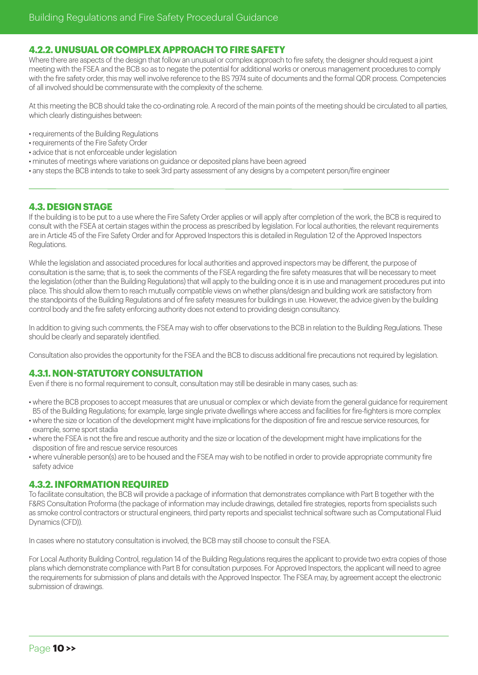# **4.2.2. UNUSUAL OR COMPLEX APPROACH TO FIRE SAFETY**

Where there are aspects of the design that follow an unusual or complex approach to fire safety, the designer should request a joint meeting with the FSEA and the BCB so as to negate the potential for additional works or onerous management procedures to comply with the fire safety order, this may well involve reference to the BS 7974 suite of documents and the formal QDR process. Competencies of all involved should be commensurate with the complexity of the scheme.

At this meeting the BCB should take the co-ordinating role. A record of the main points of the meeting should be circulated to all parties, which clearly distinguishes between:

- requirements of the Building Regulations
- requirements of the Fire Safety Order
- advice that is not enforceable under legislation
- minutes of meetings where variations on guidance or deposited plans have been agreed
- any steps the BCB intends to take to seek 3rd party assessment of any designs by a competent person/fire engineer

# **4.3. DESIGN STAGE**

If the building is to be put to a use where the Fire Safety Order applies or will apply after completion of the work, the BCB is required to consult with the FSEA at certain stages within the process as prescribed by legislation. For local authorities, the relevant requirements are in Article 45 of the Fire Safety Order and for Approved Inspectors this is detailed in Regulation 12 of the Approved Inspectors Regulations.

While the legislation and associated procedures for local authorities and approved inspectors may be different, the purpose of consultation is the same; that is, to seek the comments of the FSEA regarding the fire safety measures that will be necessary to meet the legislation (other than the Building Regulations) that will apply to the building once it is in use and management procedures put into place. This should allow them to reach mutually compatible views on whether plans/design and building work are satisfactory from the standpoints of the Building Regulations and of fire safety measures for buildings in use. However, the advice given by the building control body and the fire safety enforcing authority does not extend to providing design consultancy.

In addition to giving such comments, the FSEA may wish to offer observations to the BCB in relation to the Building Regulations. These should be clearly and separately identified.

Consultation also provides the opportunity for the FSEA and the BCB to discuss additional fire precautions not required by legislation.

# **4.3.1. NON-STATUTORY CONSULTATION**

Even if there is no formal requirement to consult, consultation may still be desirable in many cases, such as:

- where the BCB proposes to accept measures that are unusual or complex or which deviate from the general guidance for requirement B5 of the Building Regulations; for example, large single private dwellings where access and facilities for fire-fighters is more complex
- where the size or location of the development might have implications for the disposition of fire and rescue service resources, for example, some sport stadia
- where the FSEA is not the fire and rescue authority and the size or location of the development might have implications for the disposition of fire and rescue service resources
- where vulnerable person(s) are to be housed and the FSEA may wish to be notified in order to provide appropriate community fire safety advice

# **4.3.2. INFORMATION REQUIRED**

To facilitate consultation, the BCB will provide a package of information that demonstrates compliance with Part B together with the F&RS Consultation Proforma (the package of information may include drawings, detailed fire strategies, reports from specialists such as smoke control contractors or structural engineers, third party reports and specialist technical software such as Computational Fluid Dynamics (CFD)).

In cases where no statutory consultation is involved, the BCB may still choose to consult the FSEA.

For Local Authority Building Control, regulation 14 of the Building Regulations requires the applicant to provide two extra copies of those plans which demonstrate compliance with Part B for consultation purposes. For Approved Inspectors, the applicant will need to agree the requirements for submission of plans and details with the Approved Inspector. The FSEA may, by agreement accept the electronic submission of drawings.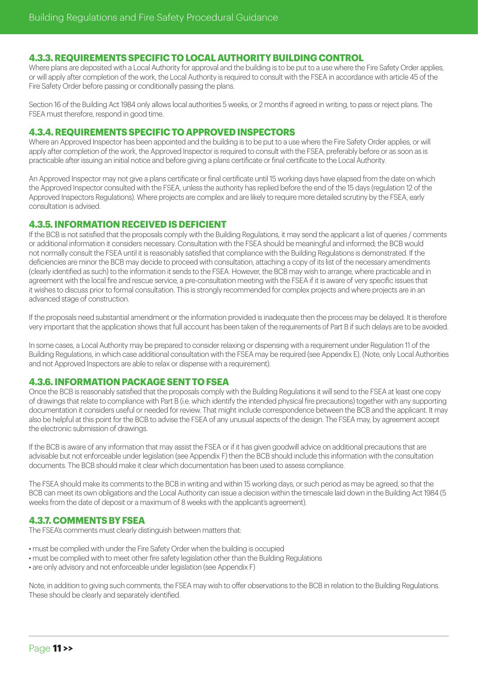# **4.3.3. REQUIREMENTS SPECIFIC TO LOCAL AUTHORITY BUILDING CONTROL**

Where plans are deposited with a Local Authority for approval and the building is to be put to a use where the Fire Safety Order applies or will apply after completion of the work, the Local Authority is required to consult with the FSEA in accordance with article 45 of the Fire Safety Order before passing or conditionally passing the plans.

Section 16 of the Building Act 1984 only allows local authorities 5 weeks, or 2 months if agreed in writing, to pass or reject plans. The FSEA must therefore, respond in good time.

#### **4.3.4. REQUIREMENTS SPECIFIC TO APPROVED INSPECTORS**

Where an Approved Inspector has been appointed and the building is to be put to a use where the Fire Safety Order applies, or will apply after completion of the work, the Approved Inspector is required to consult with the FSEA, preferably before or as soon as is practicable after issuing an initial notice and before giving a plans certificate or final certificate to the Local Authority.

An Approved Inspector may not give a plans certificate or final certificate until 15 working days have elapsed from the date on which the Approved Inspector consulted with the FSEA, unless the authority has replied before the end of the 15 days (regulation 12 of the Approved Inspectors Regulations). Where projects are complex and are likely to require more detailed scrutiny by the FSEA, early consultation is advised.

# **4.3.5. INFORMATION RECEIVED IS DEFICIENT**

If the BCB is not satisfied that the proposals comply with the Building Regulations, it may send the applicant a list of queries / comments or additional information it considers necessary. Consultation with the FSEA should be meaningful and informed; the BCB would not normally consult the FSEA until it is reasonably satisfied that compliance with the Building Regulations is demonstrated. If the deficiencies are minor the BCB may decide to proceed with consultation, attaching a copy of its list of the necessary amendments (clearly identified as such) to the information it sends to the FSEA. However, the BCB may wish to arrange, where practicable and in agreement with the local fire and rescue service, a pre-consultation meeting with the FSEA if it is aware of very specific issues that it wishes to discuss prior to formal consultation. This is strongly recommended for complex projects and where projects are in an advanced stage of construction.

If the proposals need substantial amendment or the information provided is inadequate then the process may be delayed. It is therefore very important that the application shows that full account has been taken of the requirements of Part B if such delays are to be avoided.

In some cases, a Local Authority may be prepared to consider relaxing or dispensing with a requirement under Regulation 11 of the Building Regulations, in which case additional consultation with the FSEA may be required (see Appendix E). (Note, only Local Authorities and not Approved Inspectors are able to relax or dispense with a requirement).

# **4.3.6. INFORMATION PACKAGE SENT TO FSEA**

Once the BCB is reasonably satisfied that the proposals comply with the Building Regulations it will send to the FSEA at least one copy of drawings that relate to compliance with Part B (i.e. which identify the intended physical fire precautions) together with any supporting documentation it considers useful or needed for review. That might include correspondence between the BCB and the applicant. It may also be helpful at this point for the BCB to advise the FSEA of any unusual aspects of the design. The FSEA may, by agreement accept the electronic submission of drawings.

If the BCB is aware of any information that may assist the FSEA or if it has given goodwill advice on additional precautions that are advisable but not enforceable under legislation (see Appendix F) then the BCB should include this information with the consultation documents. The BCB should make it clear which documentation has been used to assess compliance.

The FSEA should make its comments to the BCB in writing and within 15 working days, or such period as may be agreed, so that the BCB can meet its own obligations and the Local Authority can issue a decision within the timescale laid down in the Building Act 1984 (5 weeks from the date of deposit or a maximum of 8 weeks with the applicant's agreement).

# **4.3.7. COMMENTS BY FSEA**

The FSEA's comments must clearly distinguish between matters that:

- must be complied with under the Fire Safety Order when the building is occupied
- must be complied with to meet other fire safety legislation other than the Building Regulations
- are only advisory and not enforceable under legislation (see Appendix F)

Note, in addition to giving such comments, the FSEA may wish to offer observations to the BCB in relation to the Building Regulations. These should be clearly and separately identified.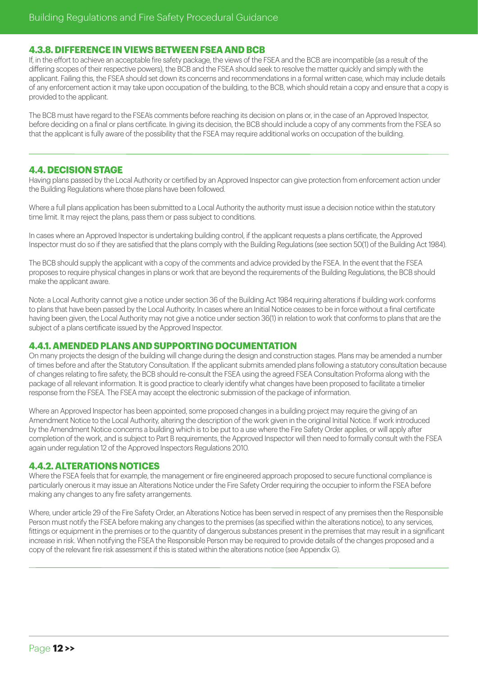# **4.3.8. DIFFERENCE IN VIEWS BETWEEN FSEA AND BCB**

If, in the effort to achieve an acceptable fire safety package, the views of the FSEA and the BCB are incompatible (as a result of the differing scopes of their respective powers), the BCB and the FSEA should seek to resolve the matter quickly and simply with the applicant. Failing this, the FSEA should set down its concerns and recommendations in a formal written case, which may include details of any enforcement action it may take upon occupation of the building, to the BCB, which should retain a copy and ensure that a copy is provided to the applicant.

The BCB must have regard to the FSEA's comments before reaching its decision on plans or, in the case of an Approved Inspector, before deciding on a final or plans certificate. In giving its decision, the BCB should include a copy of any comments from the FSEA so that the applicant is fully aware of the possibility that the FSEA may require additional works on occupation of the building.

# **4.4. DECISION STAGE**

Having plans passed by the Local Authority or certified by an Approved Inspector can give protection from enforcement action under the Building Regulations where those plans have been followed.

Where a full plans application has been submitted to a Local Authority the authority must issue a decision notice within the statutory time limit. It may reject the plans, pass them or pass subject to conditions.

In cases where an Approved Inspector is undertaking building control, if the applicant requests a plans certificate, the Approved Inspector must do so if they are satisfied that the plans comply with the Building Regulations (see section 50(1) of the Building Act 1984).

The BCB should supply the applicant with a copy of the comments and advice provided by the FSEA. In the event that the FSEA proposes to require physical changes in plans or work that are beyond the requirements of the Building Regulations, the BCB should make the applicant aware.

Note: a Local Authority cannot give a notice under section 36 of the Building Act 1984 requiring alterations if building work conforms to plans that have been passed by the Local Authority. In cases where an Initial Notice ceases to be in force without a final certificate having been given, the Local Authority may not give a notice under section 36(1) in relation to work that conforms to plans that are the subject of a plans certificate issued by the Approved Inspector.

# **4.4.1. AMENDED PLANS AND SUPPORTING DOCUMENTATION**

On many projects the design of the building will change during the design and construction stages. Plans may be amended a number of times before and after the Statutory Consultation. If the applicant submits amended plans following a statutory consultation because of changes relating to fire safety, the BCB should re-consult the FSEA using the agreed FSEA Consultation Proforma along with the package of all relevant information. It is good practice to clearly identify what changes have been proposed to facilitate a timelier response from the FSEA. The FSEA may accept the electronic submission of the package of information.

Where an Approved Inspector has been appointed, some proposed changes in a building project may require the giving of an Amendment Notice to the Local Authority, altering the description of the work given in the original Initial Notice. If work introduced by the Amendment Notice concerns a building which is to be put to a use where the Fire Safety Order applies, or will apply after completion of the work, and is subject to Part B requirements, the Approved Inspector will then need to formally consult with the FSEA again under regulation 12 of the Approved Inspectors Regulations 2010.

# **4.4.2. ALTERATIONS NOTICES**

Where the FSEA feels that for example, the management or fire engineered approach proposed to secure functional compliance is particularly onerous it may issue an Alterations Notice under the Fire Safety Order requiring the occupier to inform the FSEA before making any changes to any fire safety arrangements.

Where, under article 29 of the Fire Safety Order, an Alterations Notice has been served in respect of any premises then the Responsible Person must notify the FSEA before making any changes to the premises (as specified within the alterations notice), to any services, fittings or equipment in the premises or to the quantity of dangerous substances present in the premises that may result in a significant increase in risk. When notifying the FSEA the Responsible Person may be required to provide details of the changes proposed and a copy of the relevant fire risk assessment if this is stated within the alterations notice (see Appendix G).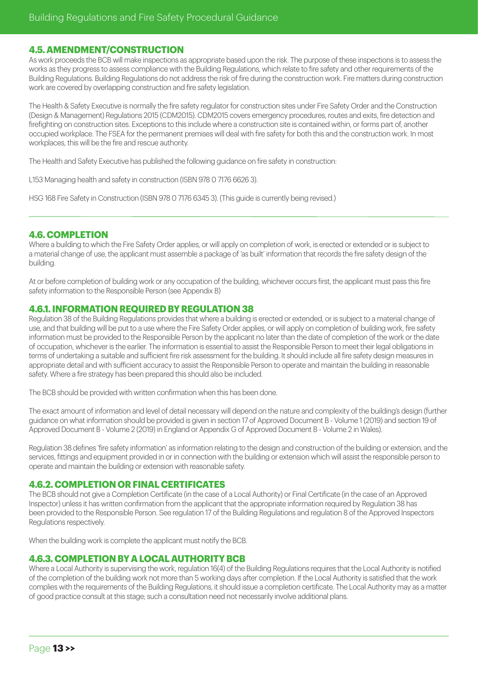# **4.5. AMENDMENT/CONSTRUCTION**

As work proceeds the BCB will make inspections as appropriate based upon the risk. The purpose of these inspections is to assess the works as they progress to assess compliance with the Building Regulations, which relate to fire safety and other requirements of the Building Regulations. Building Regulations do not address the risk of fire during the construction work. Fire matters during construction work are covered by overlapping construction and fire safety legislation.

The Health & Safety Executive is normally the fire safety regulator for construction sites under Fire Safety Order and the Construction (Design & Management) Regulations 2015 (CDM2015). CDM2015 covers emergency procedures, routes and exits, fire detection and firefighting on construction sites. Exceptions to this include where a construction site is contained within, or forms part of, another occupied workplace. The FSEA for the permanent premises will deal with fire safety for both this and the construction work. In most workplaces, this will be the fire and rescue authority.

The Health and Safety Executive has published the following guidance on fire safety in construction:

L153 Managing health and safety in construction (ISBN 978 0 7176 6626 3).

HSG 168 Fire Safety in Construction (ISBN 978 0 7176 6345 3). (This guide is currently being revised.)

# **4.6. COMPLETION**

Where a building to which the Fire Safety Order applies, or will apply on completion of work, is erected or extended or is subject to a material change of use, the applicant must assemble a package of 'as built' information that records the fire safety design of the building.

At or before completion of building work or any occupation of the building, whichever occurs first, the applicant must pass this fire safety information to the Responsible Person (see Appendix B)

# **4.6.1. INFORMATION REQUIRED BY REGULATION 38**

Regulation 38 of the Building Regulations provides that where a building is erected or extended, or is subject to a material change of use, and that building will be put to a use where the Fire Safety Order applies, or will apply on completion of building work, fire safety information must be provided to the Responsible Person by the applicant no later than the date of completion of the work or the date of occupation, whichever is the earlier. The information is essential to assist the Responsible Person to meet their legal obligations in terms of undertaking a suitable and sufficient fire risk assessment for the building. It should include all fire safety design measures in appropriate detail and with sufficient accuracy to assist the Responsible Person to operate and maintain the building in reasonable safety. Where a fire strategy has been prepared this should also be included.

The BCB should be provided with written confirmation when this has been done.

The exact amount of information and level of detail necessary will depend on the nature and complexity of the building's design (further guidance on what information should be provided is given in section 17 of Approved Document B - Volume 1 (2019) and section 19 of Approved Document B - Volume 2 (2019) in England or Appendix G of Approved Document B - Volume 2 in Wales).

Regulation 38 defines 'fire safety information' as information relating to the design and construction of the building or extension, and the services, fittings and equipment provided in or in connection with the building or extension which will assist the responsible person to operate and maintain the building or extension with reasonable safety.

#### **4.6.2. COMPLETION OR FINAL CERTIFICATES**

The BCB should not give a Completion Certificate (in the case of a Local Authority) or Final Certificate (in the case of an Approved Inspector) unless it has written confirmation from the applicant that the appropriate information required by Regulation 38 has been provided to the Responsible Person. See regulation 17 of the Building Regulations and regulation 8 of the Approved Inspectors Regulations respectively.

When the building work is complete the applicant must notify the BCB.

# **4.6.3. COMPLETION BY A LOCAL AUTHORITY BCB**

Where a Local Authority is supervising the work, regulation 16(4) of the Building Regulations requires that the Local Authority is notified of the completion of the building work not more than 5 working days after completion. If the Local Authority is satisfied that the work complies with the requirements of the Building Regulations, it should issue a completion certificate. The Local Authority may as a matter of good practice consult at this stage; such a consultation need not necessarily involve additional plans.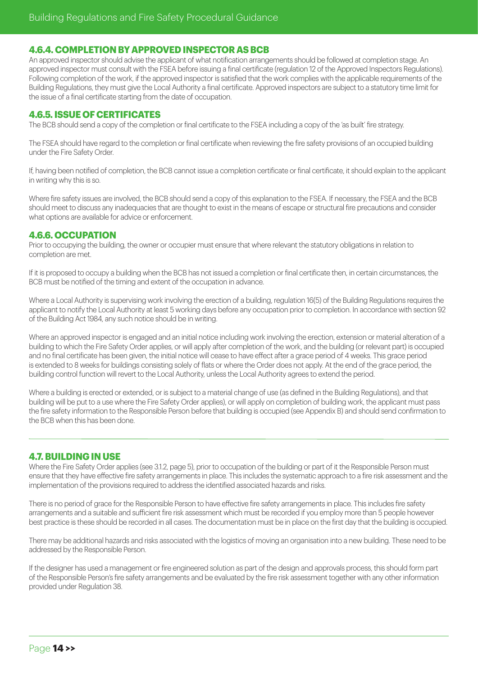# **4.6.4. COMPLETION BY APPROVED INSPECTOR AS BCB**

An approved inspector should advise the applicant of what notification arrangements should be followed at completion stage. An approved inspector must consult with the FSEA before issuing a final certificate (regulation 12 of the Approved Inspectors Regulations). Following completion of the work, if the approved inspector is satisfied that the work complies with the applicable requirements of the Building Regulations, they must give the Local Authority a final certificate. Approved inspectors are subject to a statutory time limit for the issue of a final certificate starting from the date of occupation.

# **4.6.5. ISSUE OF CERTIFICATES**

The BCB should send a copy of the completion or final certificate to the FSEA including a copy of the 'as built' fire strategy.

The FSEA should have regard to the completion or final certificate when reviewing the fire safety provisions of an occupied building under the Fire Safety Order.

If, having been notified of completion, the BCB cannot issue a completion certificate or final certificate, it should explain to the applicant in writing why this is so.

Where fire safety issues are involved, the BCB should send a copy of this explanation to the FSEA. If necessary, the FSEA and the BCB should meet to discuss any inadequacies that are thought to exist in the means of escape or structural fire precautions and consider what options are available for advice or enforcement.

# **4.6.6. OCCUPATION**

Prior to occupying the building, the owner or occupier must ensure that where relevant the statutory obligations in relation to completion are met.

If it is proposed to occupy a building when the BCB has not issued a completion or final certificate then, in certain circumstances, the BCB must be notified of the timing and extent of the occupation in advance.

Where a Local Authority is supervising work involving the erection of a building, regulation 16(5) of the Building Regulations requires the applicant to notify the Local Authority at least 5 working days before any occupation prior to completion. In accordance with section 92 of the Building Act 1984, any such notice should be in writing.

Where an approved inspector is engaged and an initial notice including work involving the erection, extension or material alteration of a building to which the Fire Safety Order applies, or will apply after completion of the work, and the building (or relevant part) is occupied and no final certificate has been given, the initial notice will cease to have effect after a grace period of 4 weeks. This grace period is extended to 8 weeks for buildings consisting solely of flats or where the Order does not apply. At the end of the grace period, the building control function will revert to the Local Authority, unless the Local Authority agrees to extend the period.

Where a building is erected or extended, or is subject to a material change of use (as defined in the Building Regulations), and that building will be put to a use where the Fire Safety Order applies), or will apply on completion of building work, the applicant must pass the fire safety information to the Responsible Person before that building is occupied (see Appendix B) and should send confirmation to the BCB when this has been done.

# **4.7. BUILDING IN USE**

Where the Fire Safety Order applies (see 3.1.2, page 5), prior to occupation of the building or part of it the Responsible Person must ensure that they have effective fire safety arrangements in place. This includes the systematic approach to a fire risk assessment and the implementation of the provisions required to address the identified associated hazards and risks.

There is no period of grace for the Responsible Person to have effective fire safety arrangements in place. This includes fire safety arrangements and a suitable and sufficient fire risk assessment which must be recorded if you employ more than 5 people however best practice is these should be recorded in all cases. The documentation must be in place on the first day that the building is occupied.

There may be additional hazards and risks associated with the logistics of moving an organisation into a new building. These need to be addressed by the Responsible Person.

If the designer has used a management or fire engineered solution as part of the design and approvals process, this should form part of the Responsible Person's fire safety arrangements and be evaluated by the fire risk assessment together with any other information provided under Regulation 38.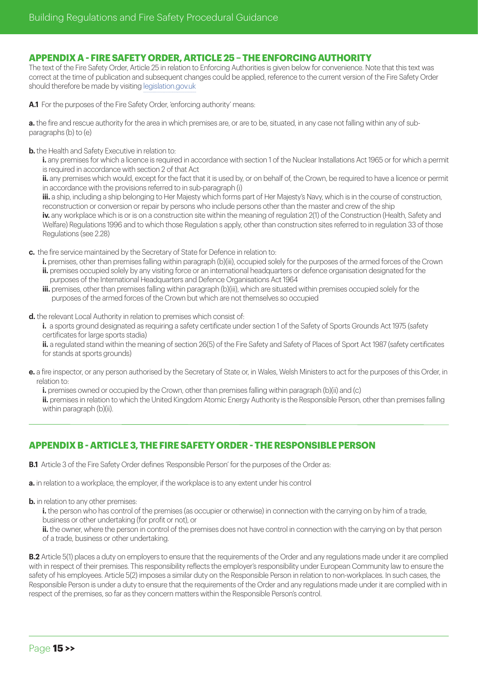# **APPENDIX A - FIRE SAFETY ORDER, ARTICLE 25 – THE ENFORCING AUTHORITY**

The text of the Fire Safety Order, Article 25 in relation to Enforcing Authorities is given below for convenience. Note that this text was correct at the time of publication and subsequent changes could be applied, reference to the current version of the Fire Safety Order should therefore be made by visiting [legislation.gov.uk](http://legislation.gov.uk)

**A.1** For the purposes of the Fire Safety Order, 'enforcing authority' means:

**a.** the fire and rescue authority for the area in which premises are, or are to be, situated, in any case not falling within any of subparagraphs (b) to (e)

**b.** the Health and Safety Executive in relation to:

**i.** any premises for which a licence is required in accordance with section 1 of the Nuclear Installations Act 1965 or for which a permit is required in accordance with section 2 of that Act

**ii.** any premises which would, except for the fact that it is used by, or on behalf of, the Crown, be required to have a licence or permit in accordance with the provisions referred to in sub-paragraph (i)

**iii.** a ship, including a ship belonging to Her Majesty which forms part of Her Majesty's Navy, which is in the course of construction, reconstruction or conversion or repair by persons who include persons other than the master and crew of the ship

iv. any workplace which is or is on a construction site within the meaning of regulation 2(1) of the Construction (Health, Safety and Welfare) Regulations 1996 and to which those Regulation s apply, other than construction sites referred to in regulation 33 of those Regulations (see 2.28)

**c.** the fire service maintained by the Secretary of State for Defence in relation to:

- **i.** premises, other than premises falling within paragraph (b)(iii), occupied solely for the purposes of the armed forces of the Crown **ii.** premises occupied solely by any visiting force or an international headquarters or defence organisation designated for the purposes of the International Headquarters and Defence Organisations Act 1964
- **iii.** premises, other than premises falling within paragraph (b)(iii), which are situated within premises occupied solely for the purposes of the armed forces of the Crown but which are not themselves so occupied
- **d.** the relevant Local Authority in relation to premises which consist of:

**i.** a sports ground designated as requiring a safety certificate under section 1 of the Safety of Sports Grounds Act 1975 (safety certificates for large sports stadia)

ii. a regulated stand within the meaning of section 26(5) of the Fire Safety and Safety of Places of Sport Act 1987 (safety certificates for stands at sports grounds)

- **e.** a fire inspector, or any person authorised by the Secretary of State or, in Wales, Welsh Ministers to act for the purposes of this Order, in relation to:
	- **i.** premises owned or occupied by the Crown, other than premises falling within paragraph (b)(ii) and (c)

**ii.** premises in relation to which the United Kingdom Atomic Energy Authority is the Responsible Person, other than premises falling within paragraph (b)(ii).

# **APPENDIX B - ARTICLE 3, THE FIRE SAFETY ORDER - THE RESPONSIBLE PERSON**

**B.1** Article 3 of the Fire Safety Order defines 'Responsible Person' for the purposes of the Order as:

**a.** in relation to a workplace, the employer, if the workplace is to any extent under his control

**b.** in relation to any other premises:

**i.** the person who has control of the premises (as occupier or otherwise) in connection with the carrying on by him of a trade, business or other undertaking (for profit or not), or

**ii.** the owner, where the person in control of the premises does not have control in connection with the carrying on by that person of a trade, business or other undertaking.

**B.2** Article 5(1) places a duty on employers to ensure that the requirements of the Order and any regulations made under it are complied with in respect of their premises. This responsibility reflects the employer's responsibility under European Community law to ensure the safety of his employees. Article 5(2) imposes a similar duty on the Responsible Person in relation to non-workplaces. In such cases, the Responsible Person is under a duty to ensure that the requirements of the Order and any regulations made under it are complied with in respect of the premises, so far as they concern matters within the Responsible Person's control.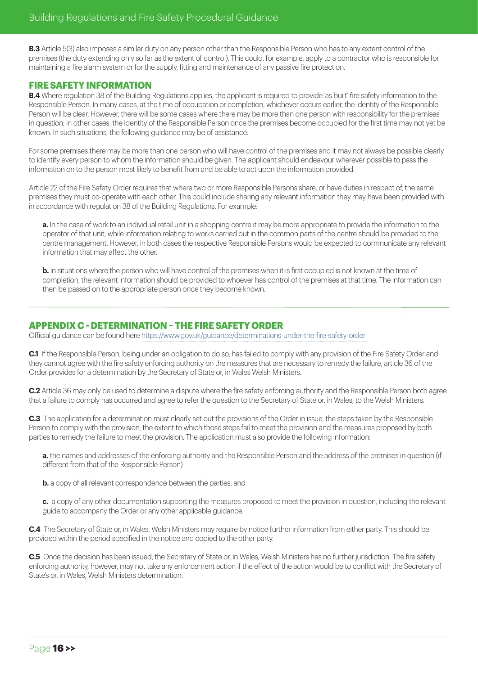**B.3** Article 5(3) also imposes a similar duty on any person other than the Responsible Person who has to any extent control of the premises (the duty extending only so far as the extent of control). This could, for example, apply to a contractor who is responsible for maintaining a fire alarm system or for the supply, fitting and maintenance of any passive fire protection.

# **FIRE SAFETY INFORMATION**

**B.4** Where regulation 38 of the Building Regulations applies, the applicant is required to provide 'as built' fire safety information to the Responsible Person. In many cases, at the time of occupation or completion, whichever occurs earlier, the identity of the Responsible Person will be clear. However, there will be some cases where there may be more than one person with responsibility for the premises in question; in other cases, the identity of the Responsible Person once the premises become occupied for the first time may not yet be known. In such situations, the following guidance may be of assistance.

For some premises there may be more than one person who will have control of the premises and it may not always be possible clearly to identify every person to whom the information should be given. The applicant should endeavour wherever possible to pass the information on to the person most likely to benefit from and be able to act upon the information provided.

Article 22 of the Fire Safety Order requires that where two or more Responsible Persons share, or have duties in respect of, the same premises they must co-operate with each other. This could include sharing any relevant information they may have been provided with in accordance with regulation 38 of the Building Regulations. For example:

**a.** In the case of work to an individual retail unit in a shopping centre it may be more appropriate to provide the information to the operator of that unit, while information relating to works carried out in the common parts of the centre should be provided to the centre management. However, in both cases the respective Responsible Persons would be expected to communicate any relevant information that may affect the other.

**b.** In situations where the person who will have control of the premises when it is first occupied is not known at the time of completion, the relevant information should be provided to whoever has control of the premises at that time. The information can then be passed on to the appropriate person once they become known.

# **APPENDIX C - DETERMINATION – THE FIRE SAFETY ORDER**

Official guidance can be found here<https://www.gov.uk/guidance/determinations-under-the-fire-safety-order>

**C.1** If the Responsible Person, being under an obligation to do so, has failed to comply with any provision of the Fire Safety Order and they cannot agree with the fire safety enforcing authority on the measures that are necessary to remedy the failure, article 36 of the Order provides for a determination by the Secretary of State or, in Wales Welsh Ministers.

**C.2** Article 36 may only be used to determine a dispute where the fire safety enforcing authority and the Responsible Person both agree that a failure to comply has occurred and agree to refer the question to the Secretary of State or, in Wales, to the Welsh Ministers.

**C.3** The application for a determination must clearly set out the provisions of the Order in issue, the steps taken by the Responsible Person to comply with the provision, the extent to which those steps fail to meet the provision and the measures proposed by both parties to remedy the failure to meet the provision. The application must also provide the following information:

**a.** the names and addresses of the enforcing authority and the Responsible Person and the address of the premises in question (if different from that of the Responsible Person)

**b.** a copy of all relevant correspondence between the parties, and

**c.** a copy of any other documentation supporting the measures proposed to meet the provision in question, including the relevant guide to accompany the Order or any other applicable guidance.

**C.4** The Secretary of State or, in Wales, Welsh Ministers may require by notice further information from either party. This should be provided within the period specified in the notice and copied to the other party.

**C.5** Once the decision has been issued, the Secretary of State or, in Wales, Welsh Ministers has no further jurisdiction. The fire safety enforcing authority, however, may not take any enforcement action if the effect of the action would be to conflict with the Secretary of State's or, in Wales, Welsh Ministers determination.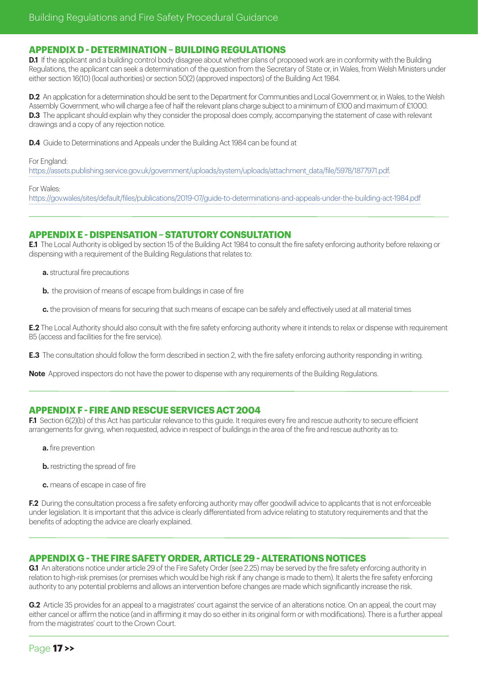#### **APPENDIX D - DETERMINATION – BUILDING REGULATIONS**

**D.1** If the applicant and a building control body disagree about whether plans of proposed work are in conformity with the Building Regulations, the applicant can seek a determination of the question from the Secretary of State or, in Wales, from Welsh Ministers under either section 16(10) (local authorities) or section 50(2) (approved inspectors) of the Building Act 1984.

**D.2** An application for a determination should be sent to the Department for Communities and Local Government or, in Wales, to the Welsh Assembly Government, who will charge a fee of half the relevant plans charge subject to a minimum of £100 and maximum of £1000. **D.3** The applicant should explain why they consider the proposal does comply, accompanying the statement of case with relevant drawings and a copy of any rejection notice.

**D.4** Guide to Determinations and Appeals under the Building Act 1984 can be found at

#### For England:

[https://assets.publishing.service.gov.uk/government/uploads/system/uploads/attachment\\_data/file/5978/1877971.pdf](https://assets.publishing.service.gov.uk/government/uploads/system/uploads/attachment_data/file/5978/1877971.pdf).

For Wales:

<https://gov.wales/sites/default/files/publications/2019-07/guide-to-determinations-and-appeals-under-the-building-act-1984.pdf>

# **APPENDIX E - DISPENSATION – STATUTORY CONSULTATION**

**E.1** The Local Authority is obliged by section 15 of the Building Act 1984 to consult the fire safety enforcing authority before relaxing or dispensing with a requirement of the Building Regulations that relates to:

- **a.** structural fire precautions
- **b.** the provision of means of escape from buildings in case of fire
- **c.** the provision of means for securing that such means of escape can be safely and effectively used at all material times

**E.2** The Local Authority should also consult with the fire safety enforcing authority where it intends to relax or dispense with requirement B5 (access and facilities for the fire service).

**E.3** The consultation should follow the form described in section 2, with the fire safety enforcing authority responding in writing.

**Note** Approved inspectors do not have the power to dispense with any requirements of the Building Regulations.

# **APPENDIX F - FIRE AND RESCUE SERVICES ACT 2004**

**F.1** Section 6(2)(b) of this Act has particular relevance to this guide. It requires every fire and rescue authority to secure efficient arrangements for giving, when requested, advice in respect of buildings in the area of the fire and rescue authority as to:

- **a.** fire prevention
- **b.** restricting the spread of fire
- **c.** means of escape in case of fire

**F.2** During the consultation process a fire safety enforcing authority may offer goodwill advice to applicants that is not enforceable under legislation. It is important that this advice is clearly differentiated from advice relating to statutory requirements and that the benefits of adopting the advice are clearly explained.

# **APPENDIX G - THE FIRE SAFETY ORDER, ARTICLE 29 - ALTERATIONS NOTICES**

**G.1** An alterations notice under article 29 of the Fire Safety Order (see 2.25) may be served by the fire safety enforcing authority in relation to high-risk premises (or premises which would be high risk if any change is made to them). It alerts the fire safety enforcing authority to any potential problems and allows an intervention before changes are made which significantly increase the risk.

**G.2** Article 35 provides for an appeal to a magistrates' court against the service of an alterations notice. On an appeal, the court may either cancel or affirm the notice (and in affirming it may do so either in its original form or with modifications). There is a further appeal from the magistrates' court to the Crown Court.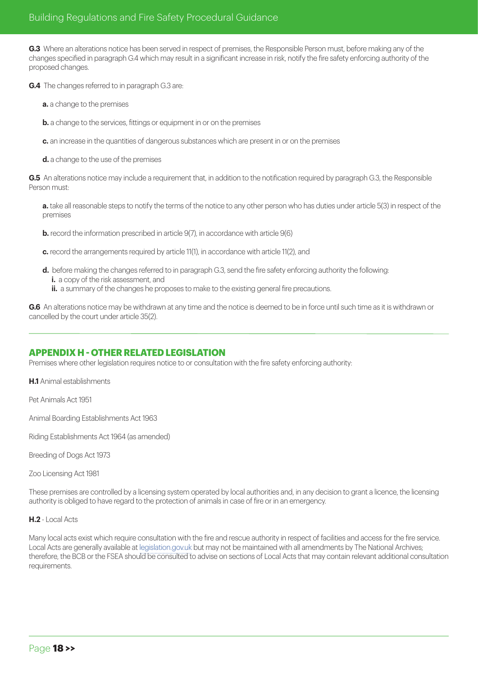**G.3** Where an alterations notice has been served in respect of premises, the Responsible Person must, before making any of the changes specified in paragraph G.4 which may result in a significant increase in risk, notify the fire safety enforcing authority of the proposed changes.

**G.4** The changes referred to in paragraph G.3 are:

- **a.** a change to the premises
- **b.** a change to the services, fittings or equipment in or on the premises
- **c.** an increase in the quantities of dangerous substances which are present in or on the premises

**d.** a change to the use of the premises

**G.5** An alterations notice may include a requirement that, in addition to the notification required by paragraph G.3, the Responsible Person must:

**a.** take all reasonable steps to notify the terms of the notice to any other person who has duties under article 5(3) in respect of the premises

- **b.** record the information prescribed in article 9(7), in accordance with article 9(6)
- **c.** record the arrangements required by article 11(1), in accordance with article 11(2), and
- **d.** before making the changes referred to in paragraph G.3, send the fire safety enforcing authority the following: **i.** a copy of the risk assessment, and
	- **ii.** a summary of the changes he proposes to make to the existing general fire precautions.

**G.6** An alterations notice may be withdrawn at any time and the notice is deemed to be in force until such time as it is withdrawn or cancelled by the court under article 35(2).

# **APPENDIX H - OTHER RELATED LEGISLATION**

Premises where other legislation requires notice to or consultation with the fire safety enforcing authority:

**H.1** Animal establishments

Pet Animals Act 1951

Animal Boarding Establishments Act 1963

Riding Establishments Act 1964 (as amended)

Breeding of Dogs Act 1973

Zoo Licensing Act 1981

These premises are controlled by a licensing system operated by local authorities and, in any decision to grant a licence, the licensing authority is obliged to have regard to the protection of animals in case of fire or in an emergency.

#### **H.2** - Local Acts

Many local acts exist which require consultation with the fire and rescue authority in respect of facilities and access for the fire service. Local Acts are generally available at [legislation.gov.uk](http://legislation.gov.uk) but may not be maintained with all amendments by The National Archives; therefore, the BCB or the FSEA should be consulted to advise on sections of Local Acts that may contain relevant additional consultation requirements.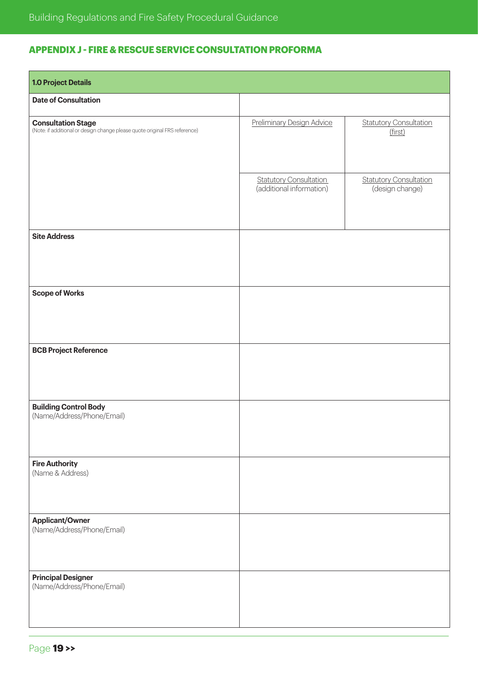# **APPENDIX J - FIRE & RESCUE SERVICE CONSULTATION PROFORMA**

| <b>1.0 Project Details</b>                                                                       |                                                           |                                                  |
|--------------------------------------------------------------------------------------------------|-----------------------------------------------------------|--------------------------------------------------|
| <b>Date of Consultation</b>                                                                      |                                                           |                                                  |
| Consultation Stage<br>(Note: if additional or design change please quote original FRS reference) | <b>Preliminary Design Advice</b>                          | <b>Statutory Consultation</b><br>(first)         |
|                                                                                                  | <b>Statutory Consultation</b><br>(additional information) | <b>Statutory Consultation</b><br>(design change) |
| <b>Site Address</b>                                                                              |                                                           |                                                  |
| <b>Scope of Works</b>                                                                            |                                                           |                                                  |
| <b>BCB Project Reference</b>                                                                     |                                                           |                                                  |
| <b>Building Control Body</b><br>(Name/Address/Phone/Email)                                       |                                                           |                                                  |
| <b>Fire Authority</b><br>(Name & Address)                                                        |                                                           |                                                  |
| <b>Applicant/Owner</b><br>(Name/Address/Phone/Email)                                             |                                                           |                                                  |
| <b>Principal Designer</b><br>(Name/Address/Phone/Email)                                          |                                                           |                                                  |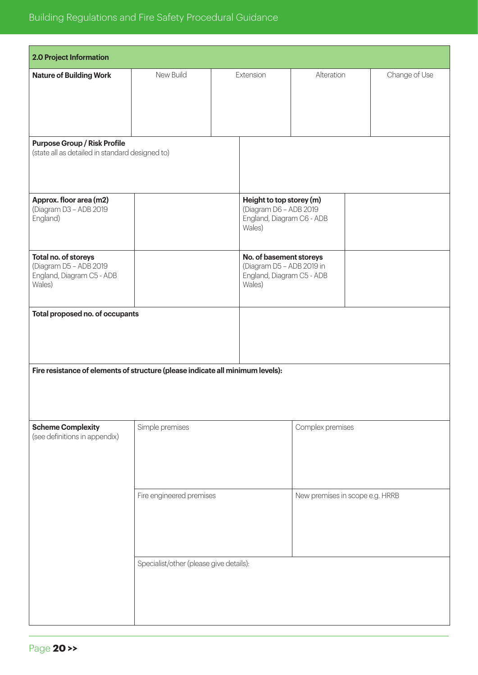| 2.0 Project Information                                                                |                                                             |                                                                                             |                                                                                           |            |  |               |
|----------------------------------------------------------------------------------------|-------------------------------------------------------------|---------------------------------------------------------------------------------------------|-------------------------------------------------------------------------------------------|------------|--|---------------|
| <b>Nature of Building Work</b>                                                         | New Build                                                   |                                                                                             | Extension                                                                                 | Alteration |  | Change of Use |
| <b>Purpose Group / Risk Profile</b><br>(state all as detailed in standard designed to) |                                                             |                                                                                             |                                                                                           |            |  |               |
| Approx. floor area (m2)<br>(Diagram D3 - ADB 2019<br>England)                          |                                                             |                                                                                             | Height to top storey (m)<br>(Diagram D6 - ADB 2019<br>England, Diagram C6 - ADB<br>Wales) |            |  |               |
| Total no. of storeys<br>(Diagram D5 - ADB 2019<br>England, Diagram C5 - ADB<br>Wales)  |                                                             | No. of basement storeys<br>(Diagram D5 - ADB 2019 in<br>England, Diagram C5 - ADB<br>Wales) |                                                                                           |            |  |               |
| Total proposed no. of occupants                                                        |                                                             |                                                                                             |                                                                                           |            |  |               |
| Fire resistance of elements of structure (please indicate all minimum levels):         |                                                             |                                                                                             |                                                                                           |            |  |               |
| <b>Scheme Complexity</b><br>(see definitions in appendix)                              | Simple premises<br>Complex premises                         |                                                                                             |                                                                                           |            |  |               |
|                                                                                        | Fire engineered premises<br>New premises in scope e.g. HRRB |                                                                                             |                                                                                           |            |  |               |
|                                                                                        | Specialist/other (please give details):                     |                                                                                             |                                                                                           |            |  |               |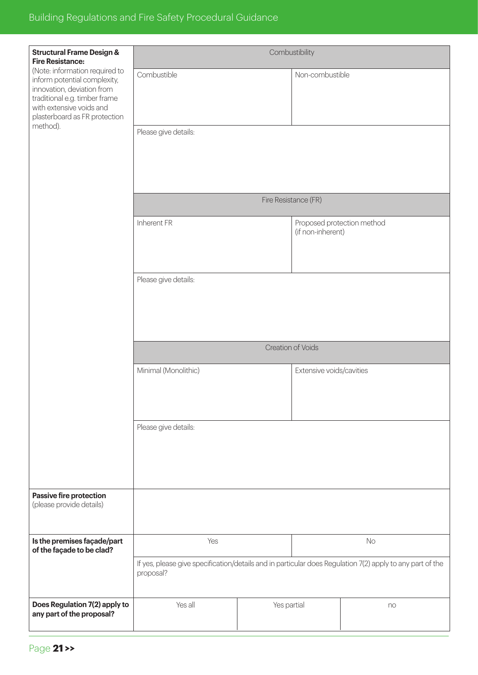| <b>Structural Frame Design &amp;</b><br><b>Fire Resistance:</b>                                                                                                                            | Combustibility                                                                                            |                      |                          |                            |
|--------------------------------------------------------------------------------------------------------------------------------------------------------------------------------------------|-----------------------------------------------------------------------------------------------------------|----------------------|--------------------------|----------------------------|
| (Note: information required to<br>inform potential complexity,<br>innovation, deviation from<br>traditional e.g. timber frame<br>with extensive voids and<br>plasterboard as FR protection | Combustible                                                                                               |                      | Non-combustible          |                            |
| method).                                                                                                                                                                                   | Please give details:                                                                                      |                      |                          |                            |
|                                                                                                                                                                                            |                                                                                                           |                      |                          |                            |
|                                                                                                                                                                                            |                                                                                                           |                      |                          |                            |
|                                                                                                                                                                                            |                                                                                                           | Fire Resistance (FR) |                          |                            |
|                                                                                                                                                                                            | Inherent FR                                                                                               |                      |                          | Proposed protection method |
|                                                                                                                                                                                            |                                                                                                           |                      | (if non-inherent)        |                            |
|                                                                                                                                                                                            |                                                                                                           |                      |                          |                            |
|                                                                                                                                                                                            | Please give details:                                                                                      |                      |                          |                            |
|                                                                                                                                                                                            |                                                                                                           |                      |                          |                            |
|                                                                                                                                                                                            |                                                                                                           |                      |                          |                            |
|                                                                                                                                                                                            |                                                                                                           |                      |                          |                            |
|                                                                                                                                                                                            |                                                                                                           | Creation of Voids    |                          |                            |
|                                                                                                                                                                                            | Minimal (Monolithic)                                                                                      |                      | Extensive voids/cavities |                            |
|                                                                                                                                                                                            |                                                                                                           |                      |                          |                            |
|                                                                                                                                                                                            |                                                                                                           |                      |                          |                            |
|                                                                                                                                                                                            | Please give details:                                                                                      |                      |                          |                            |
|                                                                                                                                                                                            |                                                                                                           |                      |                          |                            |
|                                                                                                                                                                                            |                                                                                                           |                      |                          |                            |
| Passive fire protection<br>(please provide details)                                                                                                                                        |                                                                                                           |                      |                          |                            |
|                                                                                                                                                                                            |                                                                                                           |                      |                          |                            |
| Is the premises façade/part                                                                                                                                                                | Yes                                                                                                       |                      |                          | No                         |
| of the façade to be clad?                                                                                                                                                                  | If yes, please give specification/details and in particular does Regulation 7(2) apply to any part of the |                      |                          |                            |
|                                                                                                                                                                                            | proposal?                                                                                                 |                      |                          |                            |
| Does Regulation 7(2) apply to                                                                                                                                                              | Yes all                                                                                                   | Yes partial          |                          | n <sub>O</sub>             |
| any part of the proposal?                                                                                                                                                                  |                                                                                                           |                      |                          |                            |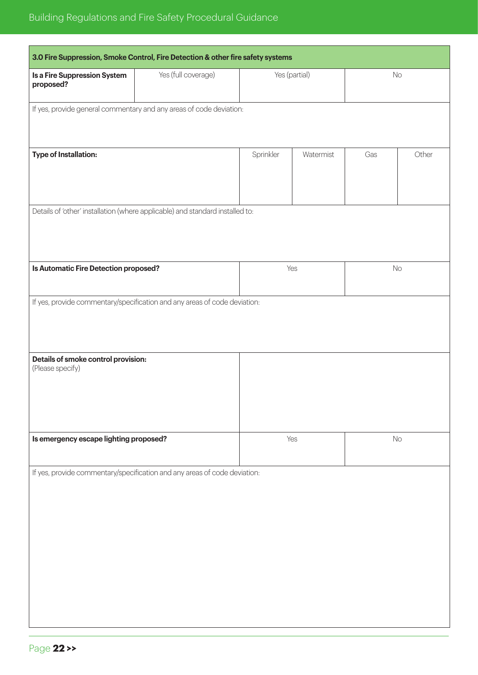| 3.0 Fire Suppression, Smoke Control, Fire Detection & other fire safety systems |  |                                                                                                                                                                                                                                                                                                                             |                                          |       |
|---------------------------------------------------------------------------------|--|-----------------------------------------------------------------------------------------------------------------------------------------------------------------------------------------------------------------------------------------------------------------------------------------------------------------------------|------------------------------------------|-------|
| Yes (full coverage)                                                             |  |                                                                                                                                                                                                                                                                                                                             | No                                       |       |
|                                                                                 |  |                                                                                                                                                                                                                                                                                                                             |                                          |       |
|                                                                                 |  |                                                                                                                                                                                                                                                                                                                             |                                          |       |
|                                                                                 |  |                                                                                                                                                                                                                                                                                                                             |                                          | Other |
|                                                                                 |  |                                                                                                                                                                                                                                                                                                                             |                                          |       |
|                                                                                 |  |                                                                                                                                                                                                                                                                                                                             |                                          |       |
|                                                                                 |  |                                                                                                                                                                                                                                                                                                                             |                                          |       |
| Is Automatic Fire Detection proposed?                                           |  |                                                                                                                                                                                                                                                                                                                             | No                                       |       |
|                                                                                 |  |                                                                                                                                                                                                                                                                                                                             |                                          |       |
|                                                                                 |  |                                                                                                                                                                                                                                                                                                                             |                                          |       |
| Details of smoke control provision:                                             |  |                                                                                                                                                                                                                                                                                                                             |                                          |       |
|                                                                                 |  |                                                                                                                                                                                                                                                                                                                             |                                          |       |
|                                                                                 |  |                                                                                                                                                                                                                                                                                                                             |                                          |       |
| Is emergency escape lighting proposed?                                          |  |                                                                                                                                                                                                                                                                                                                             | No                                       |       |
|                                                                                 |  |                                                                                                                                                                                                                                                                                                                             |                                          |       |
|                                                                                 |  |                                                                                                                                                                                                                                                                                                                             |                                          |       |
|                                                                                 |  |                                                                                                                                                                                                                                                                                                                             |                                          |       |
|                                                                                 |  |                                                                                                                                                                                                                                                                                                                             |                                          |       |
|                                                                                 |  |                                                                                                                                                                                                                                                                                                                             |                                          |       |
|                                                                                 |  |                                                                                                                                                                                                                                                                                                                             |                                          |       |
|                                                                                 |  |                                                                                                                                                                                                                                                                                                                             |                                          |       |
|                                                                                 |  | If yes, provide general commentary and any areas of code deviation:<br>Sprinkler<br>Details of 'other' installation (where applicable) and standard installed to:<br>If yes, provide commentary/specification and any areas of code deviation:<br>If yes, provide commentary/specification and any areas of code deviation: | Yes (partial)<br>Watermist<br>Yes<br>Yes | Gas   |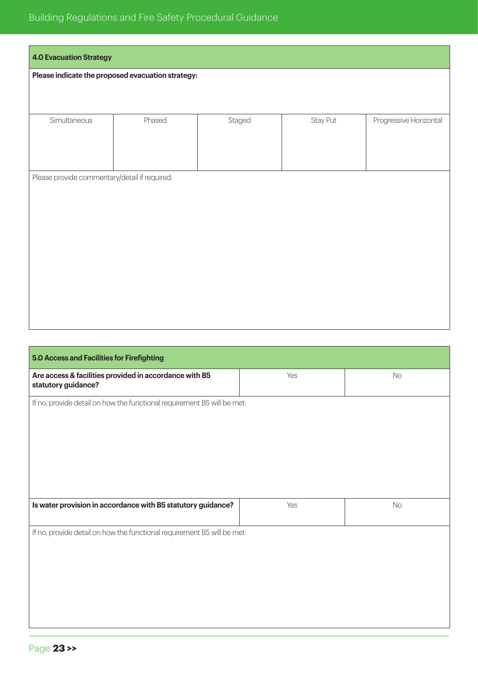# Building Regulations and Fire Safety Procedural Guidance

| <b>4.0 Evacuation Strategy</b>                    |        |        |          |                        |
|---------------------------------------------------|--------|--------|----------|------------------------|
| Please indicate the proposed evacuation strategy: |        |        |          |                        |
|                                                   |        |        |          |                        |
| Simultaneous                                      | Phased | Staged | Stay Put | Progressive Horizontal |
|                                                   |        |        |          |                        |
|                                                   |        |        |          |                        |
| Please provide commentary/detail if required:     |        |        |          |                        |
|                                                   |        |        |          |                        |
|                                                   |        |        |          |                        |
|                                                   |        |        |          |                        |
|                                                   |        |        |          |                        |
|                                                   |        |        |          |                        |
|                                                   |        |        |          |                        |
|                                                   |        |        |          |                        |

| 5.0 Access and Facilities for Firefighting                                    |     |           |
|-------------------------------------------------------------------------------|-----|-----------|
| Are access & facilities provided in accordance with B5<br>statutory guidance? | Yes | <b>No</b> |
| If no, provide detail on how the functional requirement B5 will be met:       |     |           |
|                                                                               |     |           |
|                                                                               |     |           |
|                                                                               |     |           |
|                                                                               |     |           |
| Is water provision in accordance with B5 statutory guidance?                  | Yes | No        |
| If no, provide detail on how the functional requirement B5 will be met:       |     |           |
|                                                                               |     |           |
|                                                                               |     |           |
|                                                                               |     |           |
|                                                                               |     |           |
|                                                                               |     |           |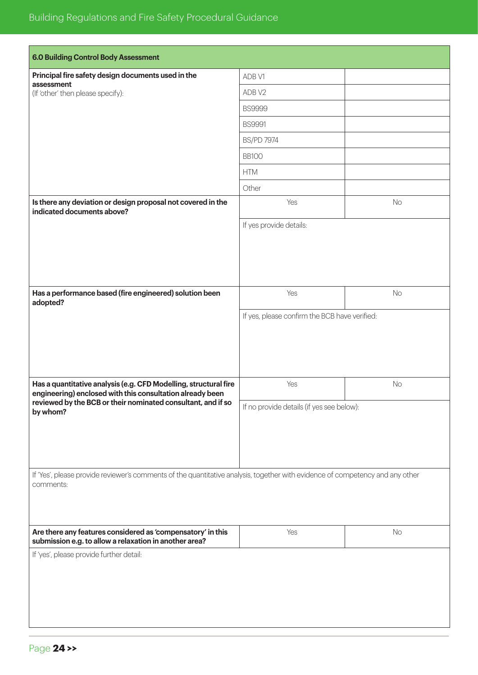| <b>6.0 Building Control Body Assessment</b>                                                                                                |                                               |    |  |
|--------------------------------------------------------------------------------------------------------------------------------------------|-----------------------------------------------|----|--|
| Principal fire safety design documents used in the                                                                                         | ADB V1                                        |    |  |
| assessment<br>(If 'other' then please specify):                                                                                            | ADB V2                                        |    |  |
|                                                                                                                                            | <b>BS9999</b>                                 |    |  |
|                                                                                                                                            | <b>BS9991</b>                                 |    |  |
|                                                                                                                                            | <b>BS/PD 7974</b>                             |    |  |
|                                                                                                                                            | <b>BB100</b>                                  |    |  |
|                                                                                                                                            | <b>HTM</b>                                    |    |  |
|                                                                                                                                            | Other                                         |    |  |
| Is there any deviation or design proposal not covered in the<br>indicated documents above?                                                 | Yes                                           | No |  |
|                                                                                                                                            | If yes provide details:                       |    |  |
|                                                                                                                                            |                                               |    |  |
|                                                                                                                                            |                                               |    |  |
|                                                                                                                                            |                                               |    |  |
| Has a performance based (fire engineered) solution been<br>adopted?                                                                        | Yes                                           | No |  |
|                                                                                                                                            | If yes, please confirm the BCB have verified: |    |  |
|                                                                                                                                            |                                               |    |  |
|                                                                                                                                            |                                               |    |  |
|                                                                                                                                            |                                               |    |  |
| Has a quantitative analysis (e.g. CFD Modelling, structural fire                                                                           | Yes                                           | No |  |
| engineering) enclosed with this consultation already been<br>reviewed by the BCB or their nominated consultant, and if so                  |                                               |    |  |
| by whom?                                                                                                                                   | If no provide details (if yes see below):     |    |  |
|                                                                                                                                            |                                               |    |  |
|                                                                                                                                            |                                               |    |  |
|                                                                                                                                            |                                               |    |  |
| If 'Yes', please provide reviewer's comments of the quantitative analysis, together with evidence of competency and any other<br>comments: |                                               |    |  |
|                                                                                                                                            |                                               |    |  |
|                                                                                                                                            |                                               |    |  |
| Are there any features considered as 'compensatory' in this<br>submission e.g. to allow a relaxation in another area?                      | Yes                                           | No |  |
| If 'yes', please provide further detail:                                                                                                   |                                               |    |  |
|                                                                                                                                            |                                               |    |  |
|                                                                                                                                            |                                               |    |  |
|                                                                                                                                            |                                               |    |  |
|                                                                                                                                            |                                               |    |  |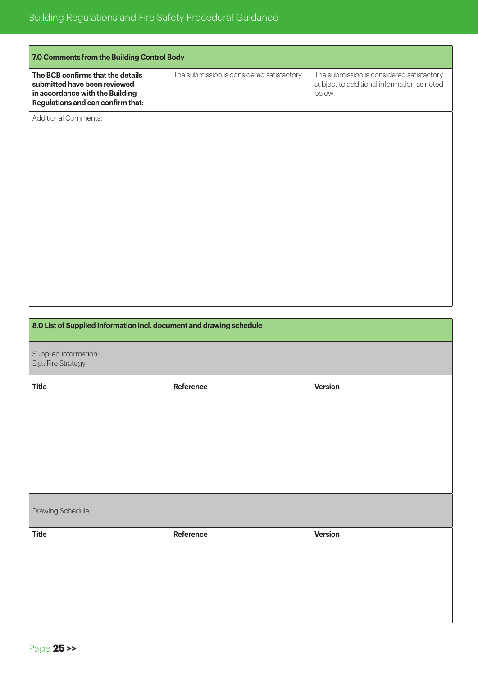| 7.0 Comments from the Building Control Body                                                                                               |                                           |                                                                                                   |
|-------------------------------------------------------------------------------------------------------------------------------------------|-------------------------------------------|---------------------------------------------------------------------------------------------------|
| The BCB confirms that the details<br>submitted have been reviewed<br>in accordance with the Building<br>Regulations and can confirm that: | The submission is considered satisfactory | The submission is considered satisfactory<br>subject to additional information as noted<br>below: |
| <b>Additional Comments:</b>                                                                                                               |                                           |                                                                                                   |

# **8.0 List of Supplied Information incl. document and drawing schedule**

Supplied information: E.g.: Fire Strategy

| <b>Title</b> | Reference | Version |
|--------------|-----------|---------|
|              |           |         |
|              |           |         |
|              |           |         |
|              |           |         |
|              |           |         |

# Drawing Schedule:

| <b>Title</b> | Reference | Version |
|--------------|-----------|---------|
|              |           |         |
|              |           |         |
|              |           |         |
|              |           |         |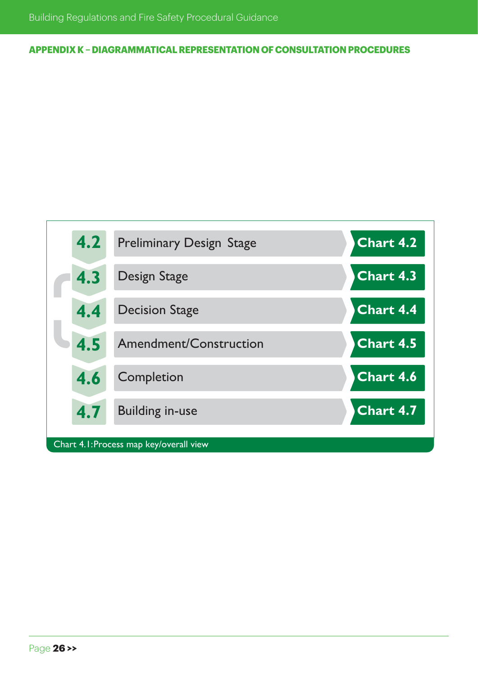**APPENDIX K – DIAGRAMMATICAL REPRESENTATION OF CONSULTATION PROCEDURES**

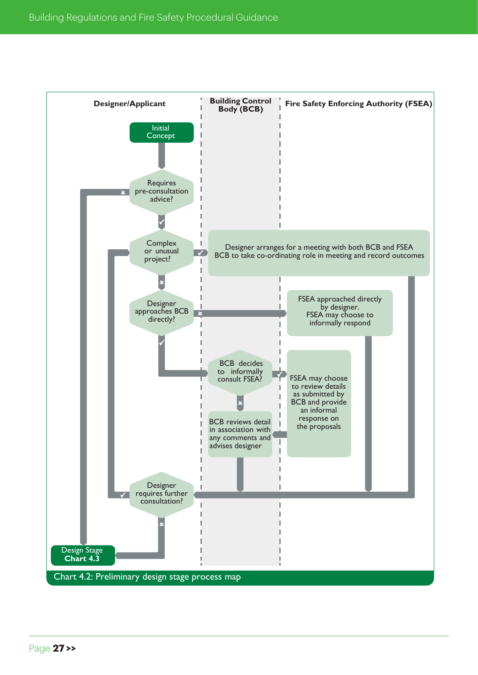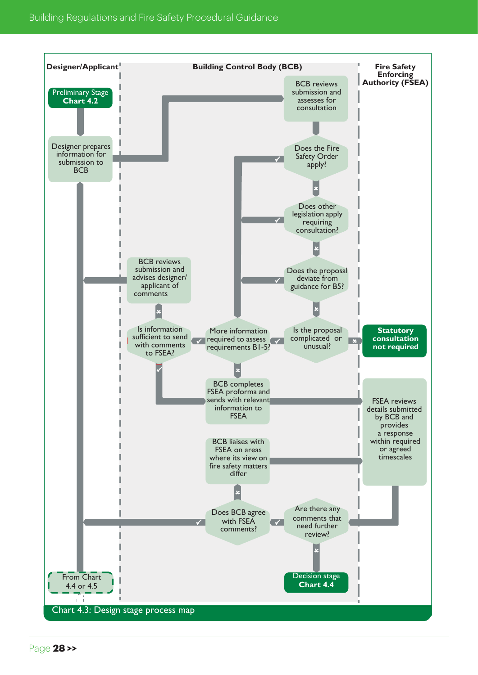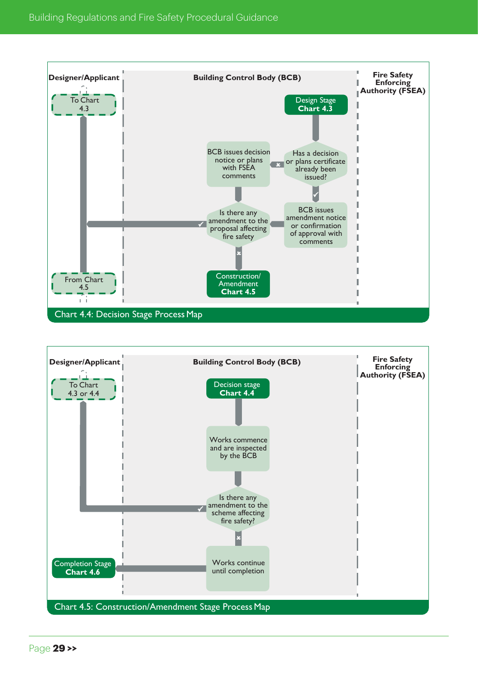

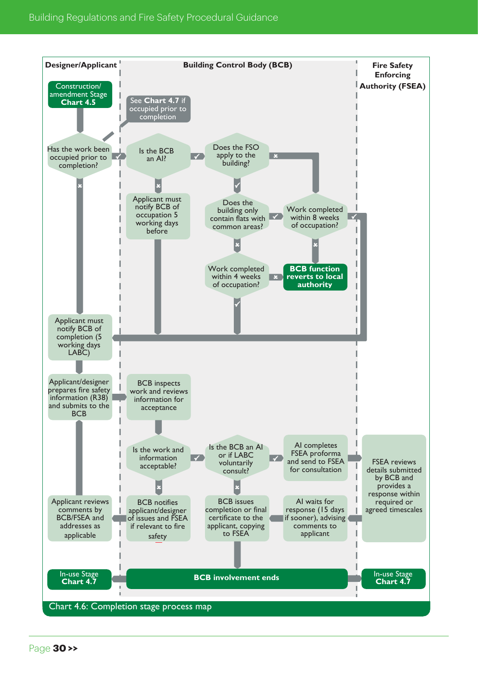